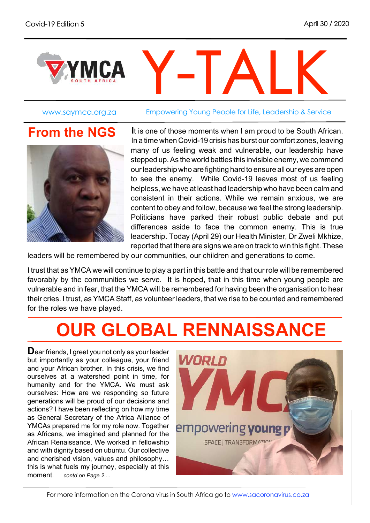

www.saymca.org.za Empowering Young People for Life, Leadership & Service

### **From the NGS**



**I**t is one of those moments when I am proud to be South African. In a time when Covid-19 crisis has burst our comfort zones, leaving many of us feeling weak and vulnerable, our leadership have stepped up. As the world battles this invisible enemy, we commend ourleadership who are fighting hard to ensure all our eyes are open to see the enemy. While Covid-19 leaves most of us feeling helpless, we have at least had leadership who have been calm and consistent in their actions. While we remain anxious, we are content to obey and follow, because we feel the strong leadership. Politicians have parked their robust public debate and put differences aside to face the common enemy. This is true leadership. Today (April 29) our Health Minister, Dr Zweli Mkhize, reported that there are signs we are on track to win this fight. These

leaders will be remembered by our communities, our children and generations to come.

I trust that as YMCA we will continue to play a part in this battle and that our role will be remembered favorably by the communities we serve. It is hoped, that in this time when young people are vulnerable and in fear, that the YMCA will be remembered for having been the organisation to hear their cries. I trust, as YMCA Staff, as volunteer leaders, that we rise to be counted and remembered for the roles we have played.

## **OUR GLOBAL RENNAISSANCE**

**D**ear friends, <sup>I</sup> greet you not only as your leader but importantly as your colleague, your friend and your African brother. In this crisis, we find ourselves at a watershed point in time, for humanity and for the YMCA. We must ask ourselves: How are we responding so future generations will be proud of our decisions and actions? I have been reflecting on how my time as General Secretary of the Africa Alliance of YMCAs prepared me for my role now. Together as Africans, we imagined and planned for the African Renaissance. We worked in fellowship and with dignity based on ubuntu. Our collective and cherished vision, values and philosophy… this is what fuels my journey, especially at this moment. *contd on Page 2....*

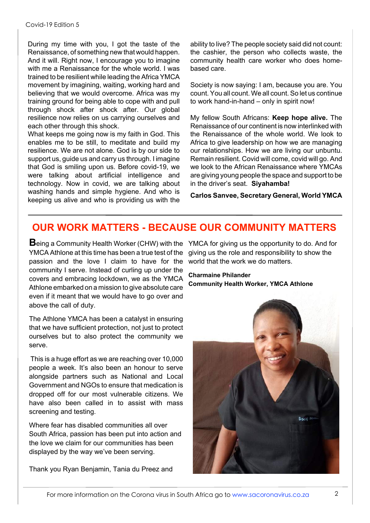During my time with you, I got the taste of the Renaissance, of something new that would happen. And it will. Right now, I encourage you to imagine with me a Renaissance for the whole world. I was trained to be resilient while leading the Africa YMCA movement by imagining, waiting, working hard and believing that we would overcome. Africa was my training ground for being able to cope with and pull through shock after shock after. Our global resilience now relies on us carrying ourselves and each other through this shock.

What keeps me going now is my faith in God. This enables me to be still, to meditate and build my resilience. We are not alone. God is by our side to support us, guide us and carry us through. I imagine that God is smiling upon us. Before covid-19, we were talking about artificial intelligence and technology. Now in covid, we are talking about washing hands and simple hygiene. And who is keeping us alive and who is providing us with the ability to live? The people society said did not count: the cashier, the person who collects waste, the community health care worker who does homebased care.

Society is now saying: I am, because you are. You count.You all count. We all count.So let us continue to work hand-in-hand – only in spirit now!

My fellow South Africans: **Keep hope alive.** The Renaissance of our continent is now interlinked with the Renaissance of the whole world. We look to Africa to give leadership on how we are managing our relationships. How we are living our unbuntu. Remain resilient. Covid will come, covid will go. And we look to the African Renaissance where YMCAs are giving young people the space and support to be in the driver's seat. **Siyahamba!**

**Carlos Sanvee, Secretary General, World YMCA**

#### **OUR WORK MATTERS - BECAUSE OUR COMMUNITY MATTERS**

Being a Community Health Worker (CHW) with the YMCA for giving us the opportunity to do. And for YMCA Athlone at this time has been a true test of the passion and the love I claim to have for the community I serve. Instead of curling up under the covers and embracing lockdown, we as the YMCA Athlone embarked on a mission to give absolute care even if it meant that we would have to go over and above the call of duty.

The Athlone YMCA has been a catalyst in ensuring that we have sufficient protection, not just to protect ourselves but to also protect the community we serve.

This is a huge effort as we are reaching over 10,000 people a week. It's also been an honour to serve alongside partners such as National and Local Government and NGOs to ensure that medication is dropped off for our most vulnerable citizens. We have also been called in to assist with mass screening and testing.

Where fear has disabled communities all over South Africa, passion has been put into action and the love we claim for our communities has been displayed by the way we've been serving.

Thank you Ryan Benjamin, Tania du Preez and

giving us the role and responsibility to show the world that the work we do matters.

**Charmaine Philander Community Health Worker, YMCA Athlone**

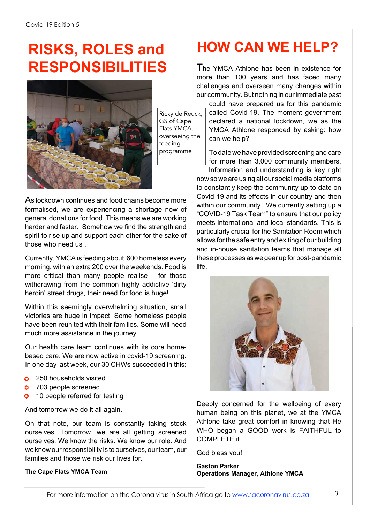### **RISKS, ROLES and RESPONSIBILITIES** The YMCA Athlone has been in existence for



Ricky de Reuck, GS of Cape Flats YMCA, overseeing the feeding programme

As lockdown continues and food chains become more formalised, we are experiencing a shortage now of general donations for food. This means we are working harder and faster. Somehow we find the strength and spirit to rise up and support each other for the sake of those who need us .

Currently, YMCA is feeding about 600 homeless every morning, with an extra 200 over the weekends. Food is more critical than many people realise – for those withdrawing from the common highly addictive 'dirty heroin' street drugs, their need for food is huge!

Within this seemingly overwhelming situation, small victories are huge in impact. Some homeless people have been reunited with their families. Some will need much more assistance in the journey.

Our health care team continues with its core homebased care. We are now active in covid-19 screening. In one day last week, our 30 CHWs succeeded in this:

- 250 households visited ń
- 703 people screened  $\bullet$
- $\bullet$ 10 people referred for testing

And tomorrow we do it all again.

On that note, our team is constantly taking stock ourselves. Tomorrow, we are all getting screened ourselves. We know the risks. We know our role. And we know our responsibility is to ourselves, our team, our families and those we risk our lives for.

#### **The Cape Flats YMCA Team**

### **HOW CAN WE HELP?**

more than 100 years and has faced many challenges and overseen many changes within our community.But nothing in ourimmediate past

could have prepared us for this pandemic called Covid-19. The moment government declared a national lockdown, we as the YMCA Athlone responded by asking: how can we help?

To datewe have provided screening and care for more than 3,000 community members. Information and understanding is key right

now so we are using all our social media platforms to constantly keep the community up-to-date on Covid-19 and its effects in our country and then within our community. We currently setting up a "COVID-19 Task Team" to ensure that our policy meets international and local standards. This is particularly crucial for the Sanitation Room which allows forthe safe entry and exiting of our building and in-house sanitation teams that manage all these processes aswe gear up for post-pandemic life.



Deeply concerned for the wellbeing of every human being on this planet, we at the YMCA Athlone take great comfort in knowing that He WHO began a GOOD work is FAITHFUL to COMPLETE it.

God bless you!

**Gaston Parker Operations Manager, Athlone YMCA**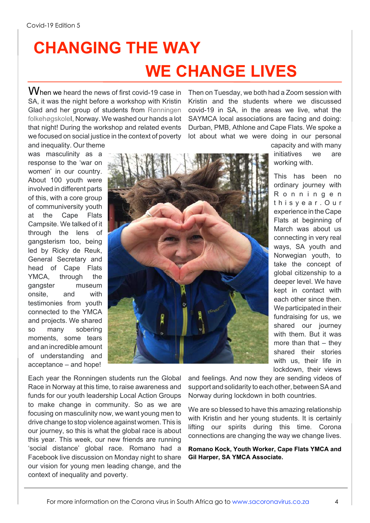## **CHANGING THE WAY WE CHANGE LIVES**

When we heard the news of first covid-19 case in SA, it was the night before a workshop with Kristin Glad and her group of students from Rønningen folkehøgskoleI, Norway. We washed our hands a lot that night! During the workshop and related events we focused on social justice in the context of poverty and inequality. Our theme

Then on Tuesday, we both had a Zoom session with Kristin and the students where we discussed covid-19 in SA, in the areas we live, what the SAYMCA local associations are facing and doing: Durban, PMB, Athlone and Cape Flats. We spoke a lot about what we were doing in our personal

was masculinity as a response to the 'war on women' in our country. About 100 youth were involved in different parts of this, with a core group of communiversity youth at the Cape Flats Campsite. We talked of it through the lens of gangsterism too, being led by Ricky de Reuk, General Secretary and head of Cape Flats YMCA, through the gangster museum onsite, and with testimonies from youth connected to the YMCA and projects. We shared so many sobering moments, some tears and an incredible amount of understanding and acceptance – and hope!



capacity and with many initiatives we are working with.

This has been no ordinary journey with R o n n i n g e n t h i s y e a r . O u r experience in the Cape Flats at beginning of March was about us connecting in very real ways, SA youth and Norwegian youth, to take the concept of global citizenship to a deeper level. We have kept in contact with each other since then. We participated in their fundraising for us, we shared our journey with them. But it was more than that – they shared their stories with us, their life in lockdown, their views

Each year the Ronningen students run the Global Race in Norway at this time, to raise awareness and funds for our youth leadership Local Action Groups to make change in community. So as we are focusing on masculinity now, we want young men to drive change to stop violence against women. This is our journey, so this is what the global race is about this year. This week, our new friends are running 'social distance' global race. Romano had a Facebook live discussion on Monday night to share our vision for young men leading change, and the context of inequality and poverty.

and feelings. And now they are sending videos of support and solidarity to each other, between SA and Norway during lockdown in both countries.

We are so blessed to have this amazing relationship with Kristin and her young students. It is certainly lifting our spirits during this time. Corona connections are changing the way we change lives.

**Romano Kock, Youth Worker, Cape Flats YMCA and Gil Harper, SA YMCA Associate.**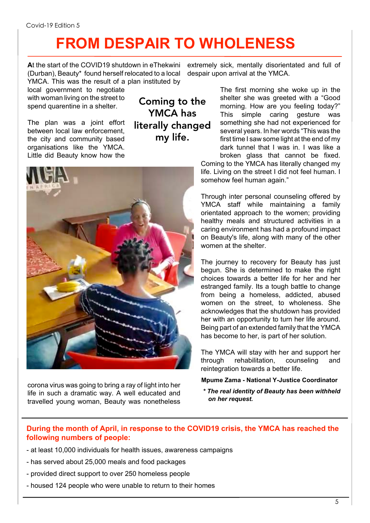## **FROM DESPAIR TO WHOLENESS**

**A**t the start of the COVID19 shutdown in eThekwini (Durban), Beauty\* found herself relocated to a local YMCA. This was the result of a plan instituted by

local government to negotiate with woman living on the street to spend quarentine in a shelter.

The plan was a joint effort between local law enforcement, the city and community based organisations like the YMCA. Little did Beauty know how the

Coming to the YMCA has literally changed my life.



corona virus was going to bring a ray of light into her life in such a dramatic way. A well educated and travelled young woman, Beauty was nonetheless

extremely sick, mentally disorientated and full of despair upon arrival at the YMCA.

The first morning she woke up in the shelter she was greeted with a "Good morning. How are you feeling today?" This simple caring gesture was something she had not experienced for several years. In her words "This was the first time I saw some light at the end of my dark tunnel that I was in. I was like a broken glass that cannot be fixed. Coming to the YMCA has literally changed my life. Living on the street I did not feel human. I

Through inter personal counseling offered by YMCA staff while maintaining a family orientated approach to the women; providing healthy meals and structured activities in a caring environment has had a profound impact on Beauty's life, along with many of the other women at the shelter.

somehow feel human again."

The journey to recovery for Beauty has just begun. She is determined to make the right choices towards a better life for her and her estranged family. Its a tough battle to change from being a homeless, addicted, abused women on the street, to wholeness. She acknowledges that the shutdown has provided her with an opportunity to turn her life around. Being part of an extended family that the YMCA has become to her, is part of her solution.

The YMCA will stay with her and support her through rehabilitation, counseling and reintegration towards a better life.

**Mpume Zama - National Y-Justice Coordinator**

*\* The real identity of Beauty has been withheld on her request.*

#### **During the month of April, in response to the COVID19 crisis, the YMCA has reached the following numbers of people:**

- at least 10,000 individuals for health issues, awareness campaigns
- has served about 25,000 meals and food packages
- provided direct support to over 250 homeless people
- housed 124 people who were unable to return to their homes